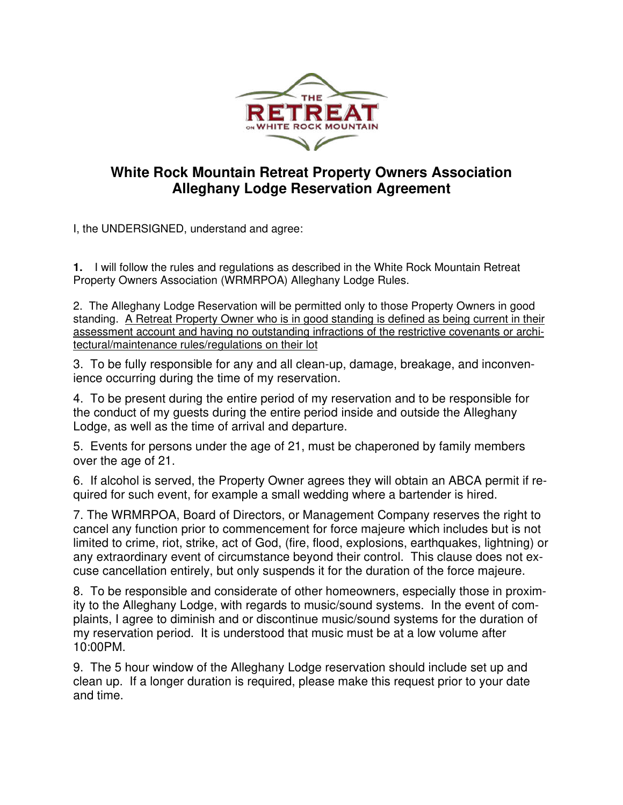

## **White Rock Mountain Retreat Property Owners Association Alleghany Lodge Reservation Agreement**

I, the UNDERSIGNED, understand and agree:

**1.** I will follow the rules and regulations as described in the White Rock Mountain Retreat Property Owners Association (WRMRPOA) Alleghany Lodge Rules.

2. The Alleghany Lodge Reservation will be permitted only to those Property Owners in good standing. A Retreat Property Owner who is in good standing is defined as being current in their assessment account and having no outstanding infractions of the restrictive covenants or architectural/maintenance rules/regulations on their lot

3. To be fully responsible for any and all clean-up, damage, breakage, and inconvenience occurring during the time of my reservation.

4. To be present during the entire period of my reservation and to be responsible for the conduct of my guests during the entire period inside and outside the Alleghany Lodge, as well as the time of arrival and departure.

5. Events for persons under the age of 21, must be chaperoned by family members over the age of 21.

6. If alcohol is served, the Property Owner agrees they will obtain an ABCA permit if required for such event, for example a small wedding where a bartender is hired.

7. The WRMRPOA, Board of Directors, or Management Company reserves the right to cancel any function prior to commencement for force majeure which includes but is not limited to crime, riot, strike, act of God, (fire, flood, explosions, earthquakes, lightning) or any extraordinary event of circumstance beyond their control. This clause does not excuse cancellation entirely, but only suspends it for the duration of the force majeure.

8. To be responsible and considerate of other homeowners, especially those in proximity to the Alleghany Lodge, with regards to music/sound systems. In the event of complaints, I agree to diminish and or discontinue music/sound systems for the duration of my reservation period. It is understood that music must be at a low volume after 10:00PM.

9. The 5 hour window of the Alleghany Lodge reservation should include set up and clean up. If a longer duration is required, please make this request prior to your date and time.